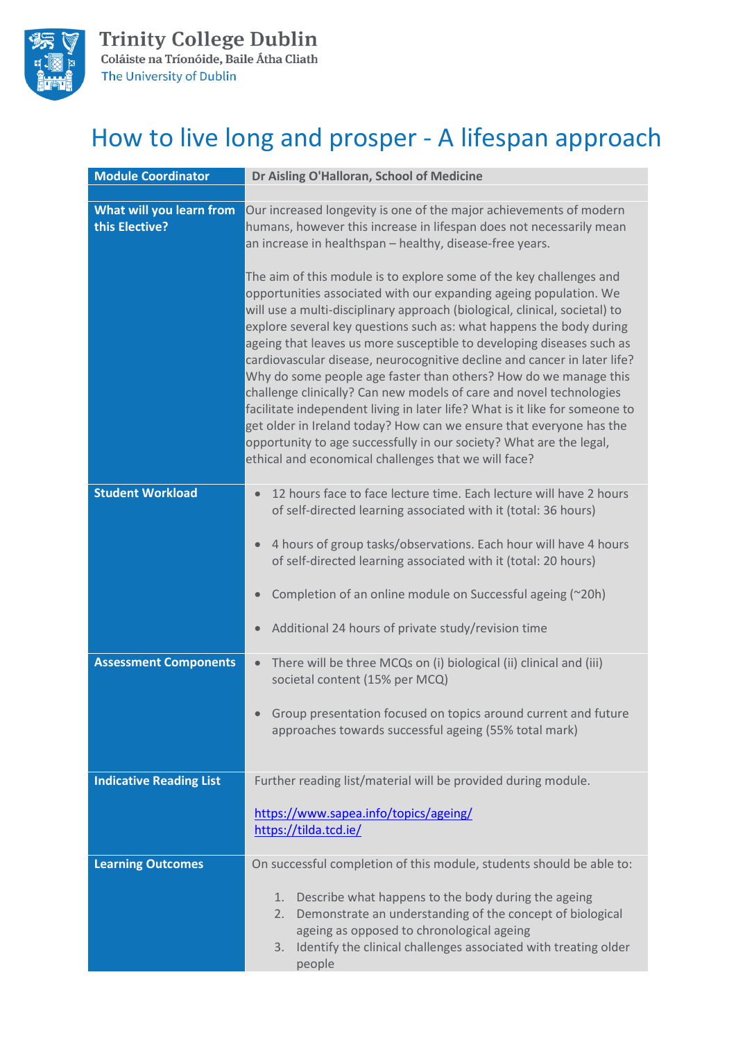

## How to live long and prosper - A lifespan approach

| <b>Module Coordinator</b>                                             | Dr Aisling O'Halloran, School of Medicine                                                                                                                                                                                                                                                                                                                                                                                                                                                                                                                                                                                                                                                                                                                                                                                                                                                                                                                                                                                                                                                                                                                                      |  |  |
|-----------------------------------------------------------------------|--------------------------------------------------------------------------------------------------------------------------------------------------------------------------------------------------------------------------------------------------------------------------------------------------------------------------------------------------------------------------------------------------------------------------------------------------------------------------------------------------------------------------------------------------------------------------------------------------------------------------------------------------------------------------------------------------------------------------------------------------------------------------------------------------------------------------------------------------------------------------------------------------------------------------------------------------------------------------------------------------------------------------------------------------------------------------------------------------------------------------------------------------------------------------------|--|--|
| What will you learn from<br>this Elective?<br><b>Student Workload</b> | Our increased longevity is one of the major achievements of modern<br>humans, however this increase in lifespan does not necessarily mean<br>an increase in healthspan - healthy, disease-free years.<br>The aim of this module is to explore some of the key challenges and<br>opportunities associated with our expanding ageing population. We<br>will use a multi-disciplinary approach (biological, clinical, societal) to<br>explore several key questions such as: what happens the body during<br>ageing that leaves us more susceptible to developing diseases such as<br>cardiovascular disease, neurocognitive decline and cancer in later life?<br>Why do some people age faster than others? How do we manage this<br>challenge clinically? Can new models of care and novel technologies<br>facilitate independent living in later life? What is it like for someone to<br>get older in Ireland today? How can we ensure that everyone has the<br>opportunity to age successfully in our society? What are the legal,<br>ethical and economical challenges that we will face?<br>12 hours face to face lecture time. Each lecture will have 2 hours<br>$\bullet$ |  |  |
|                                                                       | of self-directed learning associated with it (total: 36 hours)<br>4 hours of group tasks/observations. Each hour will have 4 hours<br>$\bullet$<br>of self-directed learning associated with it (total: 20 hours)<br>Completion of an online module on Successful ageing (~20h)<br>$\bullet$<br>Additional 24 hours of private study/revision time<br>$\bullet$                                                                                                                                                                                                                                                                                                                                                                                                                                                                                                                                                                                                                                                                                                                                                                                                                |  |  |
| <b>Assessment Components</b>                                          | There will be three MCQs on (i) biological (ii) clinical and (iii)<br>$\bullet$<br>societal content (15% per MCQ)<br>Group presentation focused on topics around current and future<br>$\bullet$<br>approaches towards successful ageing (55% total mark)                                                                                                                                                                                                                                                                                                                                                                                                                                                                                                                                                                                                                                                                                                                                                                                                                                                                                                                      |  |  |
| <b>Indicative Reading List</b>                                        | Further reading list/material will be provided during module.<br>https://www.sapea.info/topics/ageing/<br>https://tilda.tcd.ie/                                                                                                                                                                                                                                                                                                                                                                                                                                                                                                                                                                                                                                                                                                                                                                                                                                                                                                                                                                                                                                                |  |  |
| <b>Learning Outcomes</b>                                              | On successful completion of this module, students should be able to:<br>Describe what happens to the body during the ageing<br>1.<br>Demonstrate an understanding of the concept of biological<br>2.<br>ageing as opposed to chronological ageing<br>Identify the clinical challenges associated with treating older<br>3.<br>people                                                                                                                                                                                                                                                                                                                                                                                                                                                                                                                                                                                                                                                                                                                                                                                                                                           |  |  |